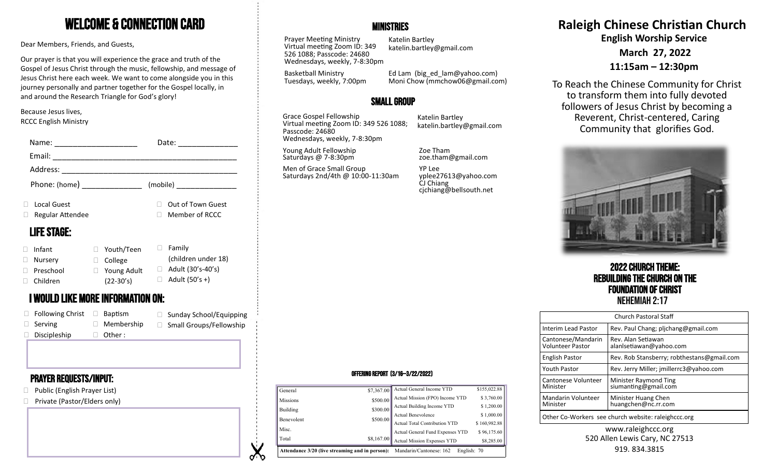# Welcome & Connection Card

Dear Members, Friends, and Guests,

Our prayer is that you will experience the grace and truth of the Gospel of Jesus Christ through the music, fellowship, and message of Jesus Christ here each week. We want to come alongside you in this journey personally and partner together for the Gospel locally, in and around the Research Triangle for God's glory!

#### Because Jesus lives, RCCC English Ministry

| Name:                   |                                   | Date:                     | Wednesdays, weekly, 7-8:30pm                   |                                                             |                                                 |
|-------------------------|-----------------------------------|---------------------------|------------------------------------------------|-------------------------------------------------------------|-------------------------------------------------|
| Email:                  |                                   |                           | Young Adult Fellowship<br>Saturdays @ 7-8:30pm | Zoe Tham<br>zoe.tham@gmail.com                              |                                                 |
| Address:                |                                   |                           | Men of Grace Small Group                       | YP Lee                                                      |                                                 |
| Phone: (home)           |                                   | (mobile)                  | Saturdays 2nd/4th @ 10:00-11:30am              | yplee27613@yahoo.com<br>CJ Chiang<br>cjchiang@bellsouth.net |                                                 |
| Local Guest             |                                   | Out of Town Guest         |                                                |                                                             |                                                 |
| Regular Attendee        |                                   | Member of RCCC            |                                                |                                                             |                                                 |
| <b>LIFE STAGE:</b>      |                                   |                           |                                                |                                                             |                                                 |
| Infant                  | Youth/Teen<br>П.                  | Family<br>$\Box$          |                                                |                                                             |                                                 |
| Nursery                 | $\Box$ College                    | (children under 18)       |                                                |                                                             |                                                 |
| Preschool               | $\Box$ Young Adult                | $\Box$ Adult (30's-40's)  |                                                |                                                             | <b>2022 CHURCH THE</b>                          |
| Children                | $(22-30's)$                       | $\Box$ Adult (50's +)     |                                                |                                                             | <b>REBUILDING THE CHURC</b>                     |
|                         | I WOULD LIKE MORE INFORMATION ON: |                           |                                                |                                                             | <b>FOUNDATION OF CH</b><br><b>NEHEMIAH 2:17</b> |
| $\Box$ Following Christ | $\Box$ Baptism                    | □ Sunday School/Equipping |                                                |                                                             | Church Pastoral Sta                             |
| Serving                 | $\Box$ Membership                 | □ Small Groups/Fellowship |                                                |                                                             | Rev. Paul Chang: plic<br>Interim Lead Pastor    |

□ Other :

#### Prayer requests/Input:

 $\square$  Discipleship

- □ Public (English Prayer List)
- □ Private (Pastor/Elders only)

#### **MINISTRIES**

Prayer Meeting Ministry Virtual meeting Zoom ID: 349 526 1088; Passcode: 24680 Wednesdays, weekly, 7-8:30pm

Basketball Ministry

Katelin Bartley katelin.bartley@gmail.com

Tuesdays, weekly, 7:00pm Ed Lam (big\_ed\_lam@yahoo.com) Moni Chow (mmchow06@gmail.com)

## Small Group

Grace Gospel Fellowship Virtual meeting Zoom ID: 349 526 1088; Passcode: 24680 Wednesdays, weekly, 7-8:30pm

**V** ৵৲ Katelin Bartley katelin.bartley@gmail.com **Raleigh Chinese Christian Church English Worship Service**

**March 27, 2022**

**11:15am – 12:30pm**

To Reach the Chinese Community for Christ to transform them into fully devoted followers of Jesus Christ by becoming a Reverent, Christ-centered, Caring Community that glorifies God.



2022 Church Theme: Rebuilding the Church on the **Foundation of Christ**<br>Nehemiah 2:17

| <b>Church Pastoral Staff</b>                        |                                               |  |  |  |  |
|-----------------------------------------------------|-----------------------------------------------|--|--|--|--|
| Interim Lead Pastor                                 | Rev. Paul Chang; plichang@gmail.com           |  |  |  |  |
| Cantonese/Mandarin<br><b>Volunteer Pastor</b>       | Rev. Alan Setiawan<br>alanlsetiawan@yahoo.com |  |  |  |  |
| <b>English Pastor</b>                               | Rev. Rob Stansberry; robthestans@gmail.com    |  |  |  |  |
| <b>Youth Pastor</b>                                 | Rev. Jerry Miller; jmillerrc3@yahoo.com       |  |  |  |  |
| Cantonese Volunteer<br>Minister                     | Minister Raymond Ting<br>siumanting@gmail.com |  |  |  |  |
| Mandarin Volunteer<br>Minister                      | Minister Huang Chen<br>huangchen@nc.rr.com    |  |  |  |  |
| Other Co-Workers see church website: raleighccc.org |                                               |  |  |  |  |

#### www.raleighccc.org 520 Allen Lewis Cary, NC 27513 919.834.3815

#### Offering Report (3/16—3/22/2022)

|                 |            | <b>Attendance 3/20 (live streaming and in person):</b> Mandarin/Cantonese: 162 | English: 70  |
|-----------------|------------|--------------------------------------------------------------------------------|--------------|
| Total           | \$8,167.00 | Actual Mission Expenses YTD                                                    | \$8,285.00   |
| Misc.           |            | Actual General Fund Expenses YTD                                               | \$96,175.60  |
|                 | \$500.00   | Actual Total Contribution YTD                                                  | \$160,982.88 |
| Benevolent      |            | Actual Benevolence                                                             | \$1,000.00   |
| Building        | \$300.00   | Actual Building Income YTD                                                     | \$1,200.00   |
| <b>Missions</b> | \$500.00   | Actual Mission (FPO) Income YTD                                                | \$3,760.00   |
| General         | \$7,367.00 | Actual General Income YTD                                                      | \$155,022.88 |